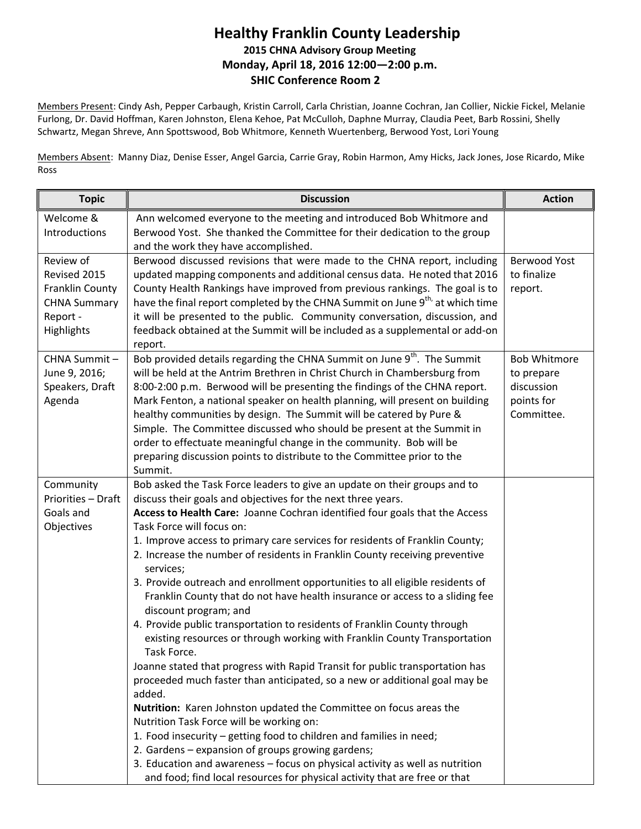## **Healthy Franklin County Leadership 2015 CHNA Advisory Group Meeting Monday, April 18, 2016 12:00—2:00 p.m. SHIC Conference Room 2**

Members Present: Cindy Ash, Pepper Carbaugh, Kristin Carroll, Carla Christian, Joanne Cochran, Jan Collier, Nickie Fickel, Melanie Furlong, Dr. David Hoffman, Karen Johnston, Elena Kehoe, Pat McCulloh, Daphne Murray, Claudia Peet, Barb Rossini, Shelly Schwartz, Megan Shreve, Ann Spottswood, Bob Whitmore, Kenneth Wuertenberg, Berwood Yost, Lori Young

Members Absent: Manny Diaz, Denise Esser, Angel Garcia, Carrie Gray, Robin Harmon, Amy Hicks, Jack Jones, Jose Ricardo, Mike Ross

| <b>Topic</b>                                                                                  | <b>Discussion</b>                                                                                                                                                                                                                                                                                                                                                                                                                                                                                                                                                                                                                                                                                                                                                                                                                                                                                                                                                                                                                                                                                                                                                                                                                                                                                                                                                                       | <b>Action</b>                                                               |
|-----------------------------------------------------------------------------------------------|-----------------------------------------------------------------------------------------------------------------------------------------------------------------------------------------------------------------------------------------------------------------------------------------------------------------------------------------------------------------------------------------------------------------------------------------------------------------------------------------------------------------------------------------------------------------------------------------------------------------------------------------------------------------------------------------------------------------------------------------------------------------------------------------------------------------------------------------------------------------------------------------------------------------------------------------------------------------------------------------------------------------------------------------------------------------------------------------------------------------------------------------------------------------------------------------------------------------------------------------------------------------------------------------------------------------------------------------------------------------------------------------|-----------------------------------------------------------------------------|
| Welcome &<br>Introductions                                                                    | Ann welcomed everyone to the meeting and introduced Bob Whitmore and<br>Berwood Yost. She thanked the Committee for their dedication to the group<br>and the work they have accomplished.                                                                                                                                                                                                                                                                                                                                                                                                                                                                                                                                                                                                                                                                                                                                                                                                                                                                                                                                                                                                                                                                                                                                                                                               |                                                                             |
| Review of<br>Revised 2015<br>Franklin County<br><b>CHNA Summary</b><br>Report -<br>Highlights | Berwood discussed revisions that were made to the CHNA report, including<br>updated mapping components and additional census data. He noted that 2016<br>County Health Rankings have improved from previous rankings. The goal is to<br>have the final report completed by the CHNA Summit on June 9 <sup>th,</sup> at which time<br>it will be presented to the public. Community conversation, discussion, and<br>feedback obtained at the Summit will be included as a supplemental or add-on<br>report.                                                                                                                                                                                                                                                                                                                                                                                                                                                                                                                                                                                                                                                                                                                                                                                                                                                                             | Berwood Yost<br>to finalize<br>report.                                      |
| CHNA Summit-<br>June 9, 2016;<br>Speakers, Draft<br>Agenda                                    | Bob provided details regarding the CHNA Summit on June 9 <sup>th</sup> . The Summit<br>will be held at the Antrim Brethren in Christ Church in Chambersburg from<br>8:00-2:00 p.m. Berwood will be presenting the findings of the CHNA report.<br>Mark Fenton, a national speaker on health planning, will present on building<br>healthy communities by design. The Summit will be catered by Pure &<br>Simple. The Committee discussed who should be present at the Summit in<br>order to effectuate meaningful change in the community. Bob will be<br>preparing discussion points to distribute to the Committee prior to the<br>Summit.                                                                                                                                                                                                                                                                                                                                                                                                                                                                                                                                                                                                                                                                                                                                            | <b>Bob Whitmore</b><br>to prepare<br>discussion<br>points for<br>Committee. |
| Community<br>Priorities - Draft<br>Goals and<br>Objectives                                    | Bob asked the Task Force leaders to give an update on their groups and to<br>discuss their goals and objectives for the next three years.<br>Access to Health Care: Joanne Cochran identified four goals that the Access<br>Task Force will focus on:<br>1. Improve access to primary care services for residents of Franklin County;<br>2. Increase the number of residents in Franklin County receiving preventive<br>services;<br>3. Provide outreach and enrollment opportunities to all eligible residents of<br>Franklin County that do not have health insurance or access to a sliding fee<br>discount program; and<br>4. Provide public transportation to residents of Franklin County through<br>existing resources or through working with Franklin County Transportation<br>Task Force.<br>Joanne stated that progress with Rapid Transit for public transportation has<br>proceeded much faster than anticipated, so a new or additional goal may be<br>added.<br>Nutrition: Karen Johnston updated the Committee on focus areas the<br>Nutrition Task Force will be working on:<br>1. Food insecurity - getting food to children and families in need;<br>2. Gardens - expansion of groups growing gardens;<br>3. Education and awareness - focus on physical activity as well as nutrition<br>and food; find local resources for physical activity that are free or that |                                                                             |